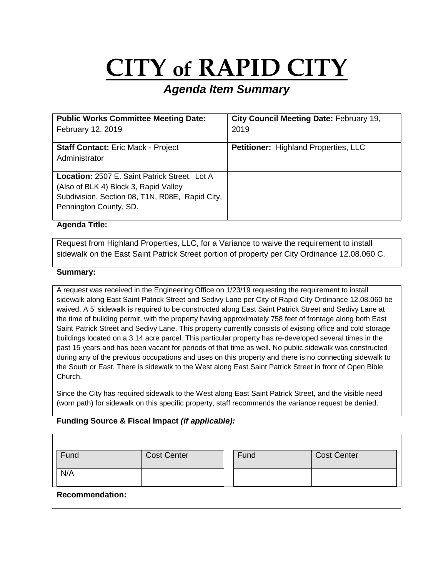# **CITY of RAPID CITY**

## *Agenda Item Summary*

| <b>Public Works Committee Meeting Date:</b>          | City Council Meeting Date: February 19,     |
|------------------------------------------------------|---------------------------------------------|
| February 12, 2019                                    | 2019                                        |
|                                                      |                                             |
| <b>Staff Contact: Eric Mack - Project</b>            | <b>Petitioner: Highland Properties, LLC</b> |
| Administrator                                        |                                             |
|                                                      |                                             |
| <b>Location: 2507 E. Saint Patrick Street. Lot A</b> |                                             |
| (Also of BLK 4) Block 3, Rapid Valley                |                                             |
| Subdivision, Section 08, T1N, R08E, Rapid City,      |                                             |
| Pennington County, SD.                               |                                             |
|                                                      |                                             |

#### **Agenda Title:**

Request from Highland Properties, LLC, for a Variance to waive the requirement to install sidewalk on the East Saint Patrick Street portion of property per City Ordinance 12.08.060 C.

#### **Summary:**

A request was received in the Engineering Office on 1/23/19 requesting the requirement to install sidewalk along East Saint Patrick Street and Sedivy Lane per City of Rapid City Ordinance 12.08.060 be waived. A 5' sidewalk is required to be constructed along East Saint Patrick Street and Sedivy Lane at the time of building permit, with the property having approximately 758 feet of frontage along both East Saint Patrick Street and Sedivy Lane. This property currently consists of existing office and cold storage buildings located on a 3.14 acre parcel. This particular property has re-developed several times in the past 15 years and has been vacant for periods of that time as well. No public sidewalk was constructed during any of the previous occupations and uses on this property and there is no connecting sidewalk to the South or East. There is sidewalk to the West along East Saint Patrick Street in front of Open Bible Church.

Since the City has required sidewalk to the West along East Saint Patrick Street, and the visible need (worn path) for sidewalk on this specific property, staff recommends the variance request be denied.

#### **Funding Source & Fiscal Impact** *(if applicable):*

| Fund | <b>Cost Center</b> | Fund | <b>Cost Center</b> |
|------|--------------------|------|--------------------|
| N/A  |                    |      |                    |

#### **Recommendation:**